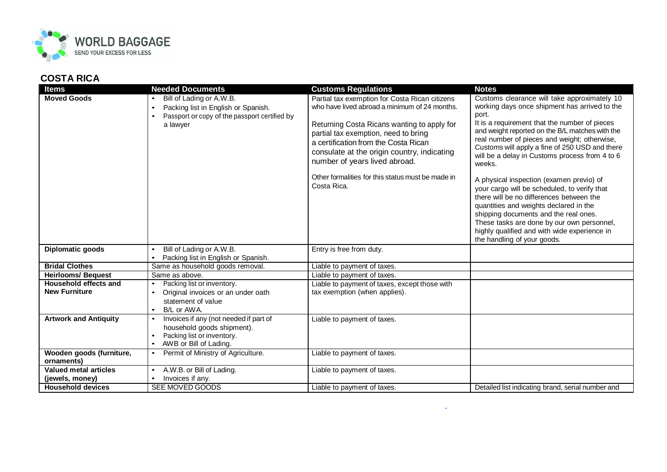

## **COSTA RICA**

| <b>Items</b>                                  | <b>Needed Documents</b>                                                                                                                                | <b>Customs Regulations</b>                                                                                                                                                                                                                                                                                                                                                         | <b>Notes</b>                                                                                                                                                                                                                                                                                                                                                                                                                                                                                                                                                                                                                                                                                                                     |
|-----------------------------------------------|--------------------------------------------------------------------------------------------------------------------------------------------------------|------------------------------------------------------------------------------------------------------------------------------------------------------------------------------------------------------------------------------------------------------------------------------------------------------------------------------------------------------------------------------------|----------------------------------------------------------------------------------------------------------------------------------------------------------------------------------------------------------------------------------------------------------------------------------------------------------------------------------------------------------------------------------------------------------------------------------------------------------------------------------------------------------------------------------------------------------------------------------------------------------------------------------------------------------------------------------------------------------------------------------|
| <b>Moved Goods</b>                            | Bill of Lading or A.W.B.<br>Packing list in English or Spanish.<br>$\bullet$<br>Passport or copy of the passport certified by<br>$\bullet$<br>a lawyer | Partial tax exemption for Costa Rican citizens<br>who have lived abroad a minimum of 24 months.<br>Returning Costa Ricans wanting to apply for<br>partial tax exemption, need to bring<br>a certification from the Costa Rican<br>consulate at the origin country, indicating<br>number of years lived abroad.<br>Other formalities for this status must be made in<br>Costa Rica. | Customs clearance will take approximately 10<br>working days once shipment has arrived to the<br>port.<br>It is a requirement that the number of pieces<br>and weight reported on the B/L matches with the<br>real number of pieces and weight; otherwise,<br>Customs will apply a fine of 250 USD and there<br>will be a delay in Customs process from 4 to 6<br>weeks.<br>A physical inspection (examen previo) of<br>your cargo will be scheduled, to verify that<br>there will be no differences between the<br>quantities and weights declared in the<br>shipping documents and the real ones.<br>These tasks are done by our own personnel,<br>highly qualified and with wide experience in<br>the handling of your goods. |
| Diplomatic goods                              | Bill of Lading or A.W.B.<br>$\bullet$<br>Packing list in English or Spanish.                                                                           | Entry is free from duty.                                                                                                                                                                                                                                                                                                                                                           |                                                                                                                                                                                                                                                                                                                                                                                                                                                                                                                                                                                                                                                                                                                                  |
| <b>Bridal Clothes</b>                         | Same as household goods removal.                                                                                                                       | Liable to payment of taxes.                                                                                                                                                                                                                                                                                                                                                        |                                                                                                                                                                                                                                                                                                                                                                                                                                                                                                                                                                                                                                                                                                                                  |
| <b>Heirlooms/ Bequest</b>                     | Same as above.                                                                                                                                         | Liable to payment of taxes.                                                                                                                                                                                                                                                                                                                                                        |                                                                                                                                                                                                                                                                                                                                                                                                                                                                                                                                                                                                                                                                                                                                  |
| Household effects and<br><b>New Furniture</b> | Packing list or inventory.<br>$\bullet$<br>Original invoices or an under oath<br>$\bullet$<br>statement of value<br>B/L or AWA.<br>$\bullet$           | Liable to payment of taxes, except those with<br>tax exemption (when applies).                                                                                                                                                                                                                                                                                                     |                                                                                                                                                                                                                                                                                                                                                                                                                                                                                                                                                                                                                                                                                                                                  |
| <b>Artwork and Antiquity</b>                  | Invoices if any (not needed if part of<br>$\bullet$<br>household goods shipment).<br>Packing list or inventory.<br>$\bullet$<br>AWB or Bill of Lading. | Liable to payment of taxes.                                                                                                                                                                                                                                                                                                                                                        |                                                                                                                                                                                                                                                                                                                                                                                                                                                                                                                                                                                                                                                                                                                                  |
| Wooden goods (furniture,<br>ornaments)        | Permit of Ministry of Agriculture.<br>$\bullet$                                                                                                        | Liable to payment of taxes.                                                                                                                                                                                                                                                                                                                                                        |                                                                                                                                                                                                                                                                                                                                                                                                                                                                                                                                                                                                                                                                                                                                  |
| Valued metal articles<br>(jewels, money)      | A.W.B. or Bill of Lading.<br>$\bullet$<br>Invoices if any.<br>$\bullet$                                                                                | Liable to payment of taxes.                                                                                                                                                                                                                                                                                                                                                        |                                                                                                                                                                                                                                                                                                                                                                                                                                                                                                                                                                                                                                                                                                                                  |
| <b>Household devices</b>                      | SEE MOVED GOODS                                                                                                                                        | Liable to payment of taxes.                                                                                                                                                                                                                                                                                                                                                        | Detailed list indicating brand, serial number and                                                                                                                                                                                                                                                                                                                                                                                                                                                                                                                                                                                                                                                                                |

**.**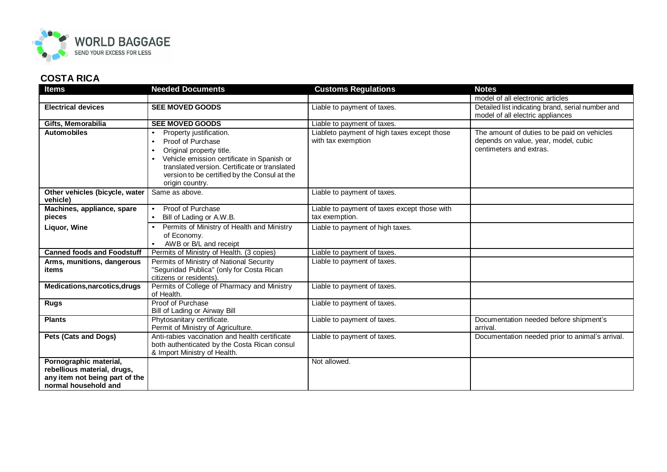

## **COSTA RICA**

| <b>Items</b>                                                                                                    | <b>Needed Documents</b>                                                                                                                                                                                                                                                                        | <b>Customs Regulations</b>                                        | <b>Notes</b>                                                                                                   |
|-----------------------------------------------------------------------------------------------------------------|------------------------------------------------------------------------------------------------------------------------------------------------------------------------------------------------------------------------------------------------------------------------------------------------|-------------------------------------------------------------------|----------------------------------------------------------------------------------------------------------------|
|                                                                                                                 |                                                                                                                                                                                                                                                                                                |                                                                   | model of all electronic articles                                                                               |
| <b>Electrical devices</b>                                                                                       | <b>SEE MOVED GOODS</b>                                                                                                                                                                                                                                                                         | Liable to payment of taxes.                                       | Detailed list indicating brand, serial number and<br>model of all electric appliances                          |
| Gifts, Memorabilia                                                                                              | <b>SEE MOVED GOODS</b>                                                                                                                                                                                                                                                                         | Liable to payment of taxes.                                       |                                                                                                                |
| <b>Automobiles</b>                                                                                              | Property justification.<br>$\bullet$<br>Proof of Purchase<br>$\bullet$<br>Original property title.<br>$\bullet$<br>Vehicle emission certificate in Spanish or<br>$\bullet$<br>translated version. Certificate or translated<br>version to be certified by the Consul at the<br>origin country. | Liableto payment of high taxes except those<br>with tax exemption | The amount of duties to be paid on vehicles<br>depends on value, year, model, cubic<br>centimeters and extras. |
| Other vehicles (bicycle, water<br>vehicle)                                                                      | Same as above.                                                                                                                                                                                                                                                                                 | Liable to payment of taxes.                                       |                                                                                                                |
| Machines, appliance, spare<br>pieces                                                                            | Proof of Purchase<br>$\bullet$<br>Bill of Lading or A.W.B.<br>$\bullet$                                                                                                                                                                                                                        | Liable to payment of taxes except those with<br>tax exemption.    |                                                                                                                |
| Liquor, Wine                                                                                                    | Permits of Ministry of Health and Ministry<br>of Economy.<br>AWB or B/L and receipt                                                                                                                                                                                                            | Liable to payment of high taxes.                                  |                                                                                                                |
| <b>Canned foods and Foodstuff</b>                                                                               | Permits of Ministry of Health. (3 copies)                                                                                                                                                                                                                                                      | Liable to payment of taxes.                                       |                                                                                                                |
| Arms, munitions, dangerous<br>items                                                                             | Permits of Ministry of National Security<br>"Seguridad Publica" (only for Costa Rican<br>citizens or residents).                                                                                                                                                                               | Liable to payment of taxes.                                       |                                                                                                                |
| Medications, narcotics, drugs                                                                                   | Permits of College of Pharmacy and Ministry<br>of Health.                                                                                                                                                                                                                                      | Liable to payment of taxes.                                       |                                                                                                                |
| <b>Rugs</b>                                                                                                     | Proof of Purchase<br>Bill of Lading or Airway Bill                                                                                                                                                                                                                                             | Liable to payment of taxes.                                       |                                                                                                                |
| <b>Plants</b>                                                                                                   | Phytosanitary certificate.<br>Permit of Ministry of Agriculture.                                                                                                                                                                                                                               | Liable to payment of taxes.                                       | Documentation needed before shipment's<br>arrival.                                                             |
| Pets (Cats and Dogs)                                                                                            | Anti-rabies vaccination and health certificate<br>both authenticated by the Costa Rican consul<br>& Import Ministry of Health.                                                                                                                                                                 | Liable to payment of taxes.                                       | Documentation needed prior to animal's arrival.                                                                |
| Pornographic material,<br>rebellious material, drugs,<br>any item not being part of the<br>normal household and |                                                                                                                                                                                                                                                                                                | Not allowed.                                                      |                                                                                                                |